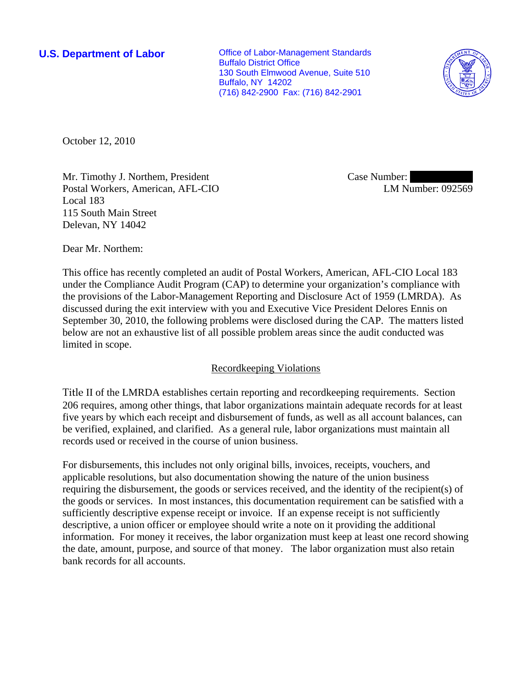**U.S. Department of Labor Conservative Conservative Conservative Conservative Conservative Conservative Conservative Conservative Conservative Conservative Conservative Conservative Conservative Conservative Conservative** Buffalo District Office 130 South Elmwood Avenue, Suite 510 Buffalo, NY 14202 (716) 842-2900 Fax: (716) 842-2901



October 12, 2010

Mr. Timothy J. Northem, President Postal Workers, American, AFL-CIO Local 183 115 South Main Street Delevan, NY 14042

Case Number: LM Number: 092569

Dear Mr. Northem:

This office has recently completed an audit of Postal Workers, American, AFL-CIO Local 183 under the Compliance Audit Program (CAP) to determine your organization's compliance with the provisions of the Labor-Management Reporting and Disclosure Act of 1959 (LMRDA). As discussed during the exit interview with you and Executive Vice President Delores Ennis on September 30, 2010, the following problems were disclosed during the CAP. The matters listed below are not an exhaustive list of all possible problem areas since the audit conducted was limited in scope.

# Recordkeeping Violations

Title II of the LMRDA establishes certain reporting and recordkeeping requirements. Section 206 requires, among other things, that labor organizations maintain adequate records for at least five years by which each receipt and disbursement of funds, as well as all account balances, can be verified, explained, and clarified. As a general rule, labor organizations must maintain all records used or received in the course of union business.

For disbursements, this includes not only original bills, invoices, receipts, vouchers, and applicable resolutions, but also documentation showing the nature of the union business requiring the disbursement, the goods or services received, and the identity of the recipient(s) of the goods or services. In most instances, this documentation requirement can be satisfied with a sufficiently descriptive expense receipt or invoice. If an expense receipt is not sufficiently descriptive, a union officer or employee should write a note on it providing the additional information. For money it receives, the labor organization must keep at least one record showing the date, amount, purpose, and source of that money. The labor organization must also retain bank records for all accounts.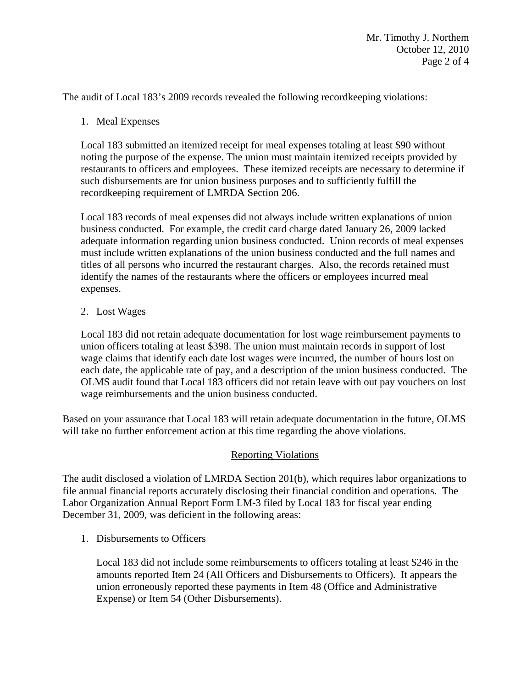The audit of Local 183's 2009 records revealed the following recordkeeping violations:

1. Meal Expenses

Local 183 submitted an itemized receipt for meal expenses totaling at least \$90 without noting the purpose of the expense. The union must maintain itemized receipts provided by restaurants to officers and employees. These itemized receipts are necessary to determine if such disbursements are for union business purposes and to sufficiently fulfill the recordkeeping requirement of LMRDA Section 206.

Local 183 records of meal expenses did not always include written explanations of union business conducted. For example, the credit card charge dated January 26, 2009 lacked adequate information regarding union business conducted. Union records of meal expenses must include written explanations of the union business conducted and the full names and titles of all persons who incurred the restaurant charges. Also, the records retained must identify the names of the restaurants where the officers or employees incurred meal expenses.

## 2. Lost Wages

Local 183 did not retain adequate documentation for lost wage reimbursement payments to union officers totaling at least \$398. The union must maintain records in support of lost wage claims that identify each date lost wages were incurred, the number of hours lost on each date, the applicable rate of pay, and a description of the union business conducted. The OLMS audit found that Local 183 officers did not retain leave with out pay vouchers on lost wage reimbursements and the union business conducted.

Based on your assurance that Local 183 will retain adequate documentation in the future, OLMS will take no further enforcement action at this time regarding the above violations.

### Reporting Violations

The audit disclosed a violation of LMRDA Section 201(b), which requires labor organizations to file annual financial reports accurately disclosing their financial condition and operations. The Labor Organization Annual Report Form LM-3 filed by Local 183 for fiscal year ending December 31, 2009, was deficient in the following areas:

1. Disbursements to Officers

Local 183 did not include some reimbursements to officers totaling at least \$246 in the amounts reported Item 24 (All Officers and Disbursements to Officers). It appears the union erroneously reported these payments in Item 48 (Office and Administrative Expense) or Item 54 (Other Disbursements).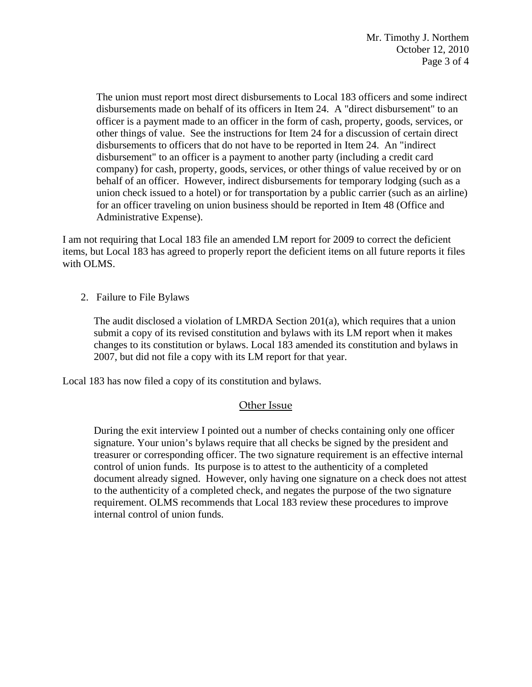The union must report most direct disbursements to Local 183 officers and some indirect disbursements made on behalf of its officers in Item 24. A "direct disbursement" to an officer is a payment made to an officer in the form of cash, property, goods, services, or other things of value. See the instructions for Item 24 for a discussion of certain direct disbursements to officers that do not have to be reported in Item 24. An "indirect disbursement" to an officer is a payment to another party (including a credit card company) for cash, property, goods, services, or other things of value received by or on behalf of an officer. However, indirect disbursements for temporary lodging (such as a union check issued to a hotel) or for transportation by a public carrier (such as an airline) for an officer traveling on union business should be reported in Item 48 (Office and Administrative Expense).

I am not requiring that Local 183 file an amended LM report for 2009 to correct the deficient items, but Local 183 has agreed to properly report the deficient items on all future reports it files with OLMS.

2. Failure to File Bylaws

 The audit disclosed a violation of LMRDA Section 201(a), which requires that a union submit a copy of its revised constitution and bylaws with its LM report when it makes changes to its constitution or bylaws. Local 183 amended its constitution and bylaws in 2007, but did not file a copy with its LM report for that year.

Local 183 has now filed a copy of its constitution and bylaws.

# Other Issue

During the exit interview I pointed out a number of checks containing only one officer signature. Your union's bylaws require that all checks be signed by the president and treasurer or corresponding officer. The two signature requirement is an effective internal control of union funds. Its purpose is to attest to the authenticity of a completed document already signed. However, only having one signature on a check does not attest to the authenticity of a completed check, and negates the purpose of the two signature requirement. OLMS recommends that Local 183 review these procedures to improve internal control of union funds.